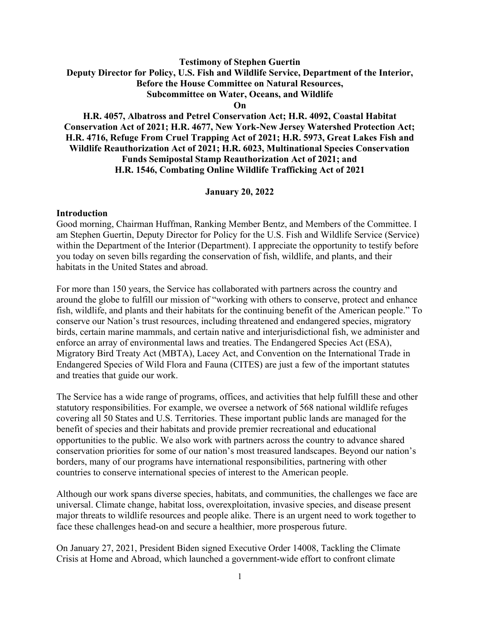#### **Testimony of Stephen Guertin Deputy Director for Policy, U.S. Fish and Wildlife Service, Department of the Interior, Before the House Committee on Natural Resources, Subcommittee on Water, Oceans, and Wildlife On**

# **H.R. 4057, Albatross and Petrel Conservation Act; H.R. 4092, Coastal Habitat Conservation Act of 2021; H.R. 4677, New York-New Jersey Watershed Protection Act; H.R. 4716, Refuge From Cruel Trapping Act of 2021; H.R. 5973, Great Lakes Fish and Wildlife Reauthorization Act of 2021; H.R. 6023, Multinational Species Conservation Funds Semipostal Stamp Reauthorization Act of 2021; and H.R. 1546, Combating Online Wildlife Trafficking Act of 2021**

#### **January 20, 2022**

#### **Introduction**

Good morning, Chairman Huffman, Ranking Member Bentz, and Members of the Committee. I am Stephen Guertin, Deputy Director for Policy for the U.S. Fish and Wildlife Service (Service) within the Department of the Interior (Department). I appreciate the opportunity to testify before you today on seven bills regarding the conservation of fish, wildlife, and plants, and their habitats in the United States and abroad.

For more than 150 years, the Service has collaborated with partners across the country and around the globe to fulfill our mission of "working with others to conserve, protect and enhance fish, wildlife, and plants and their habitats for the continuing benefit of the American people." To conserve our Nation's trust resources, including threatened and endangered species, migratory birds, certain marine mammals, and certain native and interjurisdictional fish, we administer and enforce an array of environmental laws and treaties. The Endangered Species Act (ESA), Migratory Bird Treaty Act (MBTA), Lacey Act, and Convention on the International Trade in Endangered Species of Wild Flora and Fauna (CITES) are just a few of the important statutes and treaties that guide our work.

The Service has a wide range of programs, offices, and activities that help fulfill these and other statutory responsibilities. For example, we oversee a network of 568 national wildlife refuges covering all 50 States and U.S. Territories. These important public lands are managed for the benefit of species and their habitats and provide premier recreational and educational opportunities to the public. We also work with partners across the country to advance shared conservation priorities for some of our nation's most treasured landscapes. Beyond our nation's borders, many of our programs have international responsibilities, partnering with other countries to conserve international species of interest to the American people.

Although our work spans diverse species, habitats, and communities, the challenges we face are universal. Climate change, habitat loss, overexploitation, invasive species, and disease present major threats to wildlife resources and people alike. There is an urgent need to work together to face these challenges head-on and secure a healthier, more prosperous future.

On January 27, 2021, President Biden signed Executive Order 14008, Tackling the Climate Crisis at Home and Abroad, which launched a government-wide effort to confront climate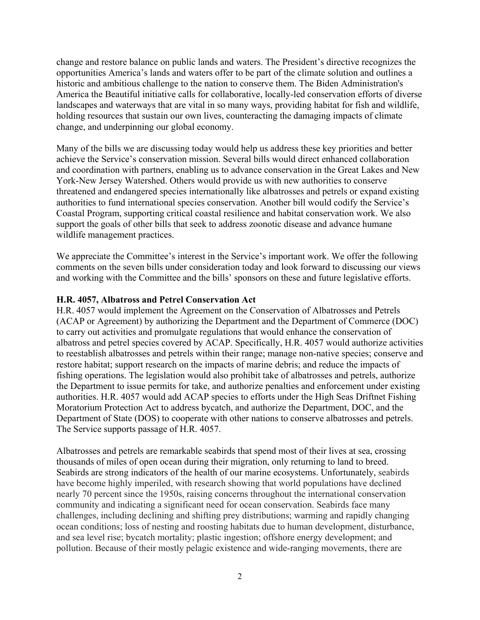change and restore balance on public lands and waters. The President's directive recognizes the opportunities America's lands and waters offer to be part of the climate solution and outlines a historic and ambitious challenge to the nation to conserve them. The Biden Administration's America the Beautiful initiative calls for collaborative, locally-led conservation efforts of diverse landscapes and waterways that are vital in so many ways, providing habitat for fish and wildlife, holding resources that sustain our own lives, counteracting the damaging impacts of climate change, and underpinning our global economy.

Many of the bills we are discussing today would help us address these key priorities and better achieve the Service's conservation mission. Several bills would direct enhanced collaboration and coordination with partners, enabling us to advance conservation in the Great Lakes and New York-New Jersey Watershed. Others would provide us with new authorities to conserve threatened and endangered species internationally like albatrosses and petrels or expand existing authorities to fund international species conservation. Another bill would codify the Service's Coastal Program, supporting critical coastal resilience and habitat conservation work. We also support the goals of other bills that seek to address zoonotic disease and advance humane wildlife management practices.

We appreciate the Committee's interest in the Service's important work. We offer the following comments on the seven bills under consideration today and look forward to discussing our views and working with the Committee and the bills' sponsors on these and future legislative efforts.

#### **H.R. 4057, Albatross and Petrel Conservation Act**

H.R. 4057 would implement the Agreement on the Conservation of Albatrosses and Petrels (ACAP or Agreement) by authorizing the Department and the Department of Commerce (DOC) to carry out activities and promulgate regulations that would enhance the conservation of albatross and petrel species covered by ACAP. Specifically, H.R. 4057 would authorize activities to reestablish albatrosses and petrels within their range; manage non-native species; conserve and restore habitat; support research on the impacts of marine debris; and reduce the impacts of fishing operations. The legislation would also prohibit take of albatrosses and petrels, authorize the Department to issue permits for take, and authorize penalties and enforcement under existing authorities. H.R. 4057 would add ACAP species to efforts under the High Seas Driftnet Fishing Moratorium Protection Act to address bycatch, and authorize the Department, DOC, and the Department of State (DOS) to cooperate with other nations to conserve albatrosses and petrels. The Service supports passage of H.R. 4057.

Albatrosses and petrels are remarkable seabirds that spend most of their lives at sea, crossing thousands of miles of open ocean during their migration, only returning to land to breed. Seabirds are strong indicators of the health of our marine ecosystems. Unfortunately, seabirds have become highly imperiled, with research showing that world populations have declined nearly 70 percent since the 1950s, raising concerns throughout the international conservation community and indicating a significant need for ocean conservation. Seabirds face many challenges, including declining and shifting prey distributions; warming and rapidly changing ocean conditions; loss of nesting and roosting habitats due to human development, disturbance, and sea level rise; bycatch mortality; plastic ingestion; offshore energy development; and pollution. Because of their mostly pelagic existence and wide-ranging movements, there are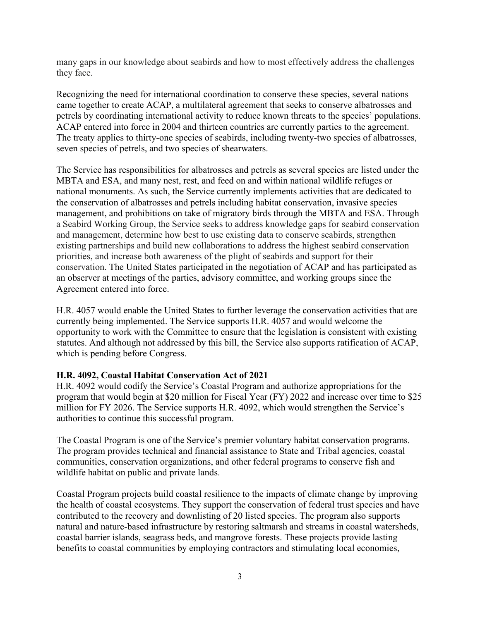many gaps in our knowledge about seabirds and how to most effectively address the challenges they face.

Recognizing the need for international coordination to conserve these species, several nations came together to create ACAP, a multilateral agreement that seeks to conserve albatrosses and petrels by coordinating international activity to reduce known threats to the species' populations. ACAP entered into force in 2004 and thirteen countries are currently parties to the agreement. The treaty applies to thirty-one species of seabirds, including twenty-two species of albatrosses, seven species of petrels, and two species of shearwaters.

The Service has responsibilities for albatrosses and petrels as several species are listed under the MBTA and ESA, and many nest, rest, and feed on and within national wildlife refuges or national monuments. As such, the Service currently implements activities that are dedicated to the conservation of albatrosses and petrels including habitat conservation, invasive species management, and prohibitions on take of migratory birds through the MBTA and ESA. Through a Seabird Working Group, the Service seeks to address knowledge gaps for seabird conservation and management, determine how best to use existing data to conserve seabirds, strengthen existing partnerships and build new collaborations to address the highest seabird conservation priorities, and increase both awareness of the plight of seabirds and support for their conservation. The United States participated in the negotiation of ACAP and has participated as an observer at meetings of the parties, advisory committee, and working groups since the Agreement entered into force.

H.R. 4057 would enable the United States to further leverage the conservation activities that are currently being implemented. The Service supports H.R. 4057 and would welcome the opportunity to work with the Committee to ensure that the legislation is consistent with existing statutes. And although not addressed by this bill, the Service also supports ratification of ACAP, which is pending before Congress.

#### **H.R. 4092, Coastal Habitat Conservation Act of 2021**

H.R. 4092 would codify the Service's Coastal Program and authorize appropriations for the program that would begin at \$20 million for Fiscal Year (FY) 2022 and increase over time to \$25 million for FY 2026. The Service supports H.R. 4092, which would strengthen the Service's authorities to continue this successful program.

The Coastal Program is one of the Service's premier voluntary habitat conservation programs. The program provides technical and financial assistance to State and Tribal agencies, coastal communities, conservation organizations, and other federal programs to conserve fish and wildlife habitat on public and private lands.

Coastal Program projects build coastal resilience to the impacts of climate change by improving the health of coastal ecosystems. They support the conservation of federal trust species and have contributed to the recovery and downlisting of 20 listed species. The program also supports natural and nature-based infrastructure by restoring saltmarsh and streams in coastal watersheds, coastal barrier islands, seagrass beds, and mangrove forests. These projects provide lasting benefits to coastal communities by employing contractors and stimulating local economies,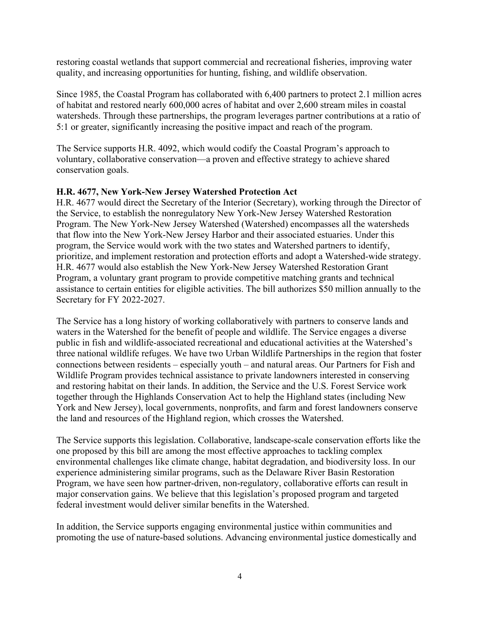restoring coastal wetlands that support commercial and recreational fisheries, improving water quality, and increasing opportunities for hunting, fishing, and wildlife observation.

Since 1985, the Coastal Program has collaborated with 6,400 partners to protect 2.1 million acres of habitat and restored nearly 600,000 acres of habitat and over 2,600 stream miles in coastal watersheds. Through these partnerships, the program leverages partner contributions at a ratio of 5:1 or greater, significantly increasing the positive impact and reach of the program.

The Service supports H.R. 4092, which would codify the Coastal Program's approach to voluntary, collaborative conservation—a proven and effective strategy to achieve shared conservation goals.

### **H.R. 4677, New York-New Jersey Watershed Protection Act**

H.R. 4677 would direct the Secretary of the Interior (Secretary), working through the Director of the Service, to establish the nonregulatory New York-New Jersey Watershed Restoration Program. The New York-New Jersey Watershed (Watershed) encompasses all the watersheds that flow into the New York-New Jersey Harbor and their associated estuaries. Under this program, the Service would work with the two states and Watershed partners to identify, prioritize, and implement restoration and protection efforts and adopt a Watershed-wide strategy. H.R. 4677 would also establish the New York-New Jersey Watershed Restoration Grant Program, a voluntary grant program to provide competitive matching grants and technical assistance to certain entities for eligible activities. The bill authorizes \$50 million annually to the Secretary for FY 2022-2027.

The Service has a long history of working collaboratively with partners to conserve lands and waters in the Watershed for the benefit of people and wildlife. The Service engages a diverse public in fish and wildlife-associated recreational and educational activities at the Watershed's three national wildlife refuges. We have two Urban Wildlife Partnerships in the region that foster connections between residents – especially youth – and natural areas. Our Partners for Fish and Wildlife Program provides technical assistance to private landowners interested in conserving and restoring habitat on their lands. In addition, the Service and the U.S. Forest Service work together through the Highlands Conservation Act to help the Highland states (including New York and New Jersey), local governments, nonprofits, and farm and forest landowners conserve the land and resources of the Highland region, which crosses the Watershed.

The Service supports this legislation. Collaborative, landscape-scale conservation efforts like the one proposed by this bill are among the most effective approaches to tackling complex environmental challenges like climate change, habitat degradation, and biodiversity loss. In our experience administering similar programs, such as the Delaware River Basin Restoration Program, we have seen how partner-driven, non-regulatory, collaborative efforts can result in major conservation gains. We believe that this legislation's proposed program and targeted federal investment would deliver similar benefits in the Watershed.

In addition, the Service supports engaging environmental justice within communities and promoting the use of nature-based solutions. Advancing environmental justice domestically and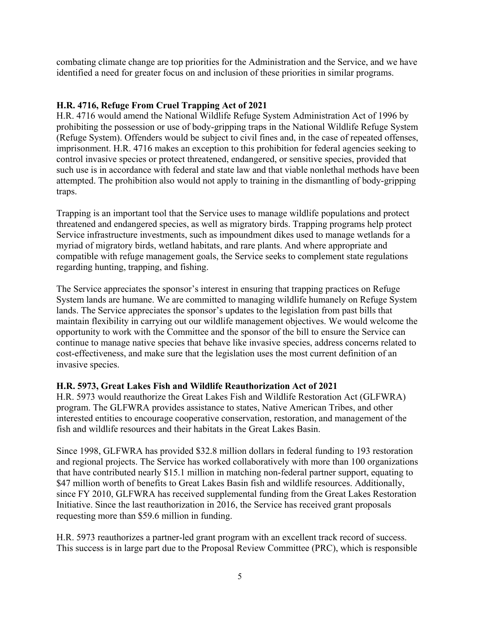combating climate change are top priorities for the Administration and the Service, and we have identified a need for greater focus on and inclusion of these priorities in similar programs.

# **H.R. 4716, Refuge From Cruel Trapping Act of 2021**

H.R. 4716 would amend the National Wildlife Refuge System Administration Act of 1996 by prohibiting the possession or use of body-gripping traps in the National Wildlife Refuge System (Refuge System). Offenders would be subject to civil fines and, in the case of repeated offenses, imprisonment. H.R. 4716 makes an exception to this prohibition for federal agencies seeking to control invasive species or protect threatened, endangered, or sensitive species, provided that such use is in accordance with federal and state law and that viable nonlethal methods have been attempted. The prohibition also would not apply to training in the dismantling of body-gripping traps.

Trapping is an important tool that the Service uses to manage wildlife populations and protect threatened and endangered species, as well as migratory birds. Trapping programs help protect Service infrastructure investments, such as impoundment dikes used to manage wetlands for a myriad of migratory birds, wetland habitats, and rare plants. And where appropriate and compatible with refuge management goals, the Service seeks to complement state regulations regarding hunting, trapping, and fishing.

The Service appreciates the sponsor's interest in ensuring that trapping practices on Refuge System lands are humane. We are committed to managing wildlife humanely on Refuge System lands. The Service appreciates the sponsor's updates to the legislation from past bills that maintain flexibility in carrying out our wildlife management objectives. We would welcome the opportunity to work with the Committee and the sponsor of the bill to ensure the Service can continue to manage native species that behave like invasive species, address concerns related to cost-effectiveness, and make sure that the legislation uses the most current definition of an invasive species.

# **H.R. 5973, Great Lakes Fish and Wildlife Reauthorization Act of 2021**

H.R. 5973 would reauthorize the Great Lakes Fish and Wildlife Restoration Act (GLFWRA) program. The GLFWRA provides assistance to states, Native American Tribes, and other interested entities to encourage cooperative conservation, restoration, and management of the fish and wildlife resources and their habitats in the Great Lakes Basin.

Since 1998, GLFWRA has provided \$32.8 million dollars in federal funding to 193 restoration and regional projects. The Service has worked collaboratively with more than 100 organizations that have contributed nearly \$15.1 million in matching non-federal partner support, equating to \$47 million worth of benefits to Great Lakes Basin fish and wildlife resources. Additionally, since FY 2010, GLFWRA has received supplemental funding from the Great Lakes Restoration Initiative. Since the last reauthorization in 2016, the Service has received grant proposals requesting more than \$59.6 million in funding.

H.R. 5973 reauthorizes a partner-led grant program with an excellent track record of success. This success is in large part due to the Proposal Review Committee (PRC), which is responsible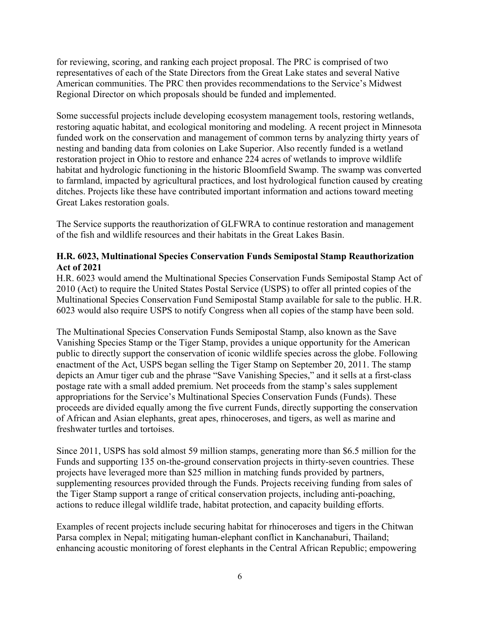for reviewing, scoring, and ranking each project proposal. The PRC is comprised of two representatives of each of the State Directors from the Great Lake states and several Native American communities. The PRC then provides recommendations to the Service's Midwest Regional Director on which proposals should be funded and implemented.

Some successful projects include developing ecosystem management tools, restoring wetlands, restoring aquatic habitat, and ecological monitoring and modeling. A recent project in Minnesota funded work on the conservation and management of common terns by analyzing thirty years of nesting and banding data from colonies on Lake Superior. Also recently funded is a wetland restoration project in Ohio to restore and enhance 224 acres of wetlands to improve wildlife habitat and hydrologic functioning in the historic Bloomfield Swamp. The swamp was converted to farmland, impacted by agricultural practices, and lost hydrological function caused by creating ditches. Projects like these have contributed important information and actions toward meeting Great Lakes restoration goals.

The Service supports the reauthorization of GLFWRA to continue restoration and management of the fish and wildlife resources and their habitats in the Great Lakes Basin.

### **H.R. 6023, Multinational Species Conservation Funds Semipostal Stamp Reauthorization Act of 2021**

H.R. 6023 would amend the Multinational Species Conservation Funds Semipostal Stamp Act of 2010 (Act) to require the United States Postal Service (USPS) to offer all printed copies of the Multinational Species Conservation Fund Semipostal Stamp available for sale to the public. H.R. 6023 would also require USPS to notify Congress when all copies of the stamp have been sold.

The Multinational Species Conservation Funds Semipostal Stamp, also known as the Save Vanishing Species Stamp or the Tiger Stamp, provides a unique opportunity for the American public to directly support the conservation of iconic wildlife species across the globe. Following enactment of the Act, USPS began selling the Tiger Stamp on September 20, 2011. The stamp depicts an Amur tiger cub and the phrase "Save Vanishing Species," and it sells at a first-class postage rate with a small added premium. Net proceeds from the stamp's sales supplement appropriations for the Service's Multinational Species Conservation Funds (Funds). These proceeds are divided equally among the five current Funds, directly supporting the conservation of African and Asian elephants, great apes, rhinoceroses, and tigers, as well as marine and freshwater turtles and tortoises.

Since 2011, USPS has sold almost 59 million stamps, generating more than \$6.5 million for the Funds and supporting 135 on-the-ground conservation projects in thirty-seven countries. These projects have leveraged more than \$25 million in matching funds provided by partners, supplementing resources provided through the Funds. Projects receiving funding from sales of the Tiger Stamp support a range of critical conservation projects, including anti-poaching, actions to reduce illegal wildlife trade, habitat protection, and capacity building efforts.

Examples of recent projects include securing habitat for rhinoceroses and tigers in the Chitwan Parsa complex in Nepal; mitigating human-elephant conflict in Kanchanaburi, Thailand; enhancing acoustic monitoring of forest elephants in the Central African Republic; empowering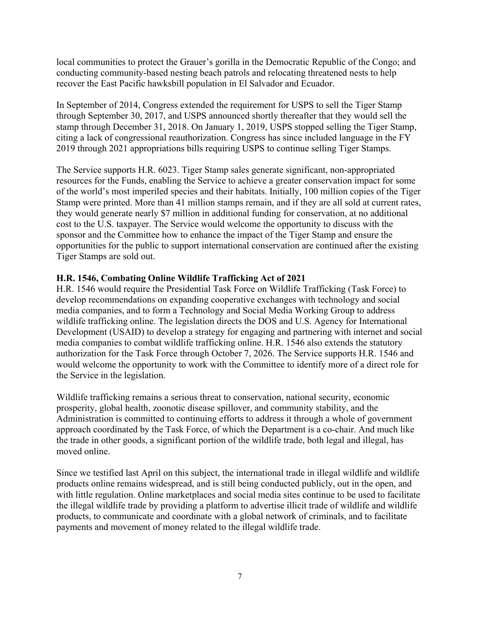local communities to protect the Grauer's gorilla in the Democratic Republic of the Congo; and conducting community-based nesting beach patrols and relocating threatened nests to help recover the East Pacific hawksbill population in El Salvador and Ecuador.

In September of 2014, Congress extended the requirement for USPS to sell the Tiger Stamp through September 30, 2017, and USPS announced shortly thereafter that they would sell the stamp through December 31, 2018. On January 1, 2019, USPS stopped selling the Tiger Stamp, citing a lack of congressional reauthorization. Congress has since included language in the FY 2019 through 2021 appropriations bills requiring USPS to continue selling Tiger Stamps.

The Service supports H.R. 6023. Tiger Stamp sales generate significant, non-appropriated resources for the Funds, enabling the Service to achieve a greater conservation impact for some of the world's most imperiled species and their habitats. Initially, 100 million copies of the Tiger Stamp were printed. More than 41 million stamps remain, and if they are all sold at current rates, they would generate nearly \$7 million in additional funding for conservation, at no additional cost to the U.S. taxpayer. The Service would welcome the opportunity to discuss with the sponsor and the Committee how to enhance the impact of the Tiger Stamp and ensure the opportunities for the public to support international conservation are continued after the existing Tiger Stamps are sold out.

# **H.R. 1546, Combating Online Wildlife Trafficking Act of 2021**

H.R. 1546 would require the Presidential Task Force on Wildlife Trafficking (Task Force) to develop recommendations on expanding cooperative exchanges with technology and social media companies, and to form a Technology and Social Media Working Group to address wildlife trafficking online. The legislation directs the DOS and U.S. Agency for International Development (USAID) to develop a strategy for engaging and partnering with internet and social media companies to combat wildlife trafficking online. H.R. 1546 also extends the statutory authorization for the Task Force through October 7, 2026. The Service supports H.R. 1546 and would welcome the opportunity to work with the Committee to identify more of a direct role for the Service in the legislation.

Wildlife trafficking remains a serious threat to conservation, national security, economic prosperity, global health, zoonotic disease spillover, and community stability, and the Administration is committed to continuing efforts to address it through a whole of government approach coordinated by the Task Force, of which the Department is a co-chair. And much like the trade in other goods, a significant portion of the wildlife trade, both legal and illegal, has moved online.

Since we testified last April on this subject, the international trade in illegal wildlife and wildlife products online remains widespread, and is still being conducted publicly, out in the open, and with little regulation. Online marketplaces and social media sites continue to be used to facilitate the illegal wildlife trade by providing a platform to advertise illicit trade of wildlife and wildlife products, to communicate and coordinate with a global network of criminals, and to facilitate payments and movement of money related to the illegal wildlife trade.